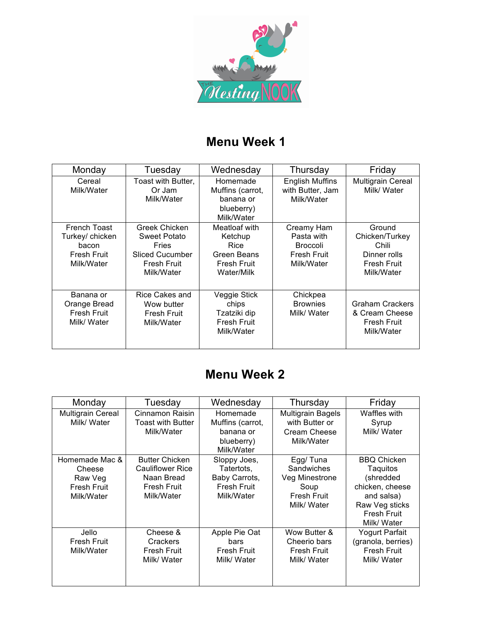

## **Menu Week 1**

| Monday                                                                       | Tuesday                                                                                              | Wednesday                                                                    | Thursday                                                                        | Friday                                                                                |
|------------------------------------------------------------------------------|------------------------------------------------------------------------------------------------------|------------------------------------------------------------------------------|---------------------------------------------------------------------------------|---------------------------------------------------------------------------------------|
| Cereal<br>Milk/Water                                                         | Toast with Butter,<br>Or Jam<br>Milk/Water                                                           | Homemade<br>Muffins (carrot,<br>banana or<br>blueberry)<br>Milk/Water        | <b>English Muffins</b><br>with Butter, Jam<br>Milk/Water                        | <b>Multigrain Cereal</b><br>Milk/ Water                                               |
| French Toast<br>Turkey/ chicken<br>bacon<br><b>Fresh Fruit</b><br>Milk/Water | Greek Chicken<br>Sweet Potato<br>Fries<br><b>Sliced Cucumber</b><br><b>Fresh Fruit</b><br>Milk/Water | Meatloaf with<br>Ketchup<br>Rice<br>Green Beans<br>Fresh Fruit<br>Water/Milk | Creamy Ham<br>Pasta with<br><b>Broccoli</b><br><b>Fresh Fruit</b><br>Milk/Water | Ground<br>Chicken/Turkey<br>Chili<br>Dinner rolls<br><b>Fresh Fruit</b><br>Milk/Water |
| Banana or<br>Orange Bread<br><b>Fresh Fruit</b><br>Milk/ Water               | Rice Cakes and<br>Wow butter<br><b>Fresh Fruit</b><br>Milk/Water                                     | Veggie Stick<br>chips<br>Tzatziki dip<br><b>Fresh Fruit</b><br>Milk/Water    | Chickpea<br><b>Brownies</b><br>Milk/ Water                                      | <b>Graham Crackers</b><br>& Cream Cheese<br><b>Fresh Fruit</b><br>Milk/Water          |

## **Menu Week 2**

| Monday                                                                  | Tuesday                                                                                     | Wednesday                                                                       | Thursday                                                                              | Friday                                                                                                                              |
|-------------------------------------------------------------------------|---------------------------------------------------------------------------------------------|---------------------------------------------------------------------------------|---------------------------------------------------------------------------------------|-------------------------------------------------------------------------------------------------------------------------------------|
| <b>Multigrain Cereal</b><br>Milk/ Water                                 | Cinnamon Raisin<br><b>Toast with Butter</b><br>Milk/Water                                   | Homemade<br>Muffins (carrot,<br>banana or<br>blueberry)<br>Milk/Water           | <b>Multigrain Bagels</b><br>with Butter or<br>Cream Cheese<br>Milk/Water              | Waffles with<br>Syrup<br>Milk/ Water                                                                                                |
| Homemade Mac &<br>Cheese<br>Raw Veg<br><b>Fresh Fruit</b><br>Milk/Water | <b>Butter Chicken</b><br>Cauliflower Rice<br>Naan Bread<br><b>Fresh Fruit</b><br>Milk/Water | Sloppy Joes,<br>Tatertots,<br>Baby Carrots,<br><b>Fresh Fruit</b><br>Milk/Water | Egg/Tuna<br>Sandwiches<br>Veg Minestrone<br>Soup<br><b>Fresh Fruit</b><br>Milk/ Water | <b>BBQ Chicken</b><br>Taquitos<br>(shredded<br>chicken, cheese<br>and salsa)<br>Raw Veg sticks<br><b>Fresh Fruit</b><br>Milk/ Water |
| Jello<br><b>Fresh Fruit</b><br>Milk/Water                               | Cheese &<br>Crackers<br><b>Fresh Fruit</b><br>Milk/ Water                                   | Apple Pie Oat<br>bars<br><b>Fresh Fruit</b><br>Milk/ Water                      | Wow Butter &<br>Cheerio bars<br><b>Fresh Fruit</b><br>Milk/ Water                     | Yogurt Parfait<br>(granola, berries)<br><b>Fresh Fruit</b><br>Milk/ Water                                                           |